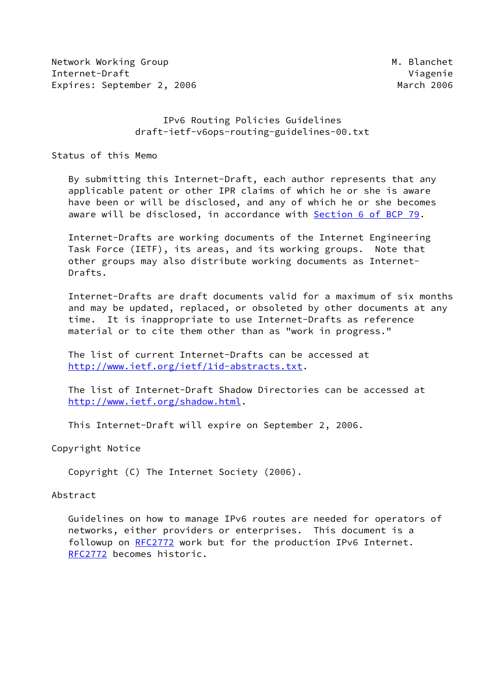Network Working Group Metwork Working Group Metwork Metwork Metal Internet-Draft Viagenie Expires: September 2, 2006 March 2006

# IPv6 Routing Policies Guidelines draft-ietf-v6ops-routing-guidelines-00.txt

Status of this Memo

 By submitting this Internet-Draft, each author represents that any applicable patent or other IPR claims of which he or she is aware have been or will be disclosed, and any of which he or she becomes aware will be disclosed, in accordance with Section [6 of BCP 79.](https://datatracker.ietf.org/doc/pdf/bcp79#section-6)

 Internet-Drafts are working documents of the Internet Engineering Task Force (IETF), its areas, and its working groups. Note that other groups may also distribute working documents as Internet- Drafts.

 Internet-Drafts are draft documents valid for a maximum of six months and may be updated, replaced, or obsoleted by other documents at any time. It is inappropriate to use Internet-Drafts as reference material or to cite them other than as "work in progress."

 The list of current Internet-Drafts can be accessed at <http://www.ietf.org/ietf/1id-abstracts.txt>.

 The list of Internet-Draft Shadow Directories can be accessed at <http://www.ietf.org/shadow.html>.

This Internet-Draft will expire on September 2, 2006.

Copyright Notice

Copyright (C) The Internet Society (2006).

### Abstract

 Guidelines on how to manage IPv6 routes are needed for operators of networks, either providers or enterprises. This document is a followup on [RFC2772](https://datatracker.ietf.org/doc/pdf/rfc2772) work but for the production IPv6 Internet. [RFC2772](https://datatracker.ietf.org/doc/pdf/rfc2772) becomes historic.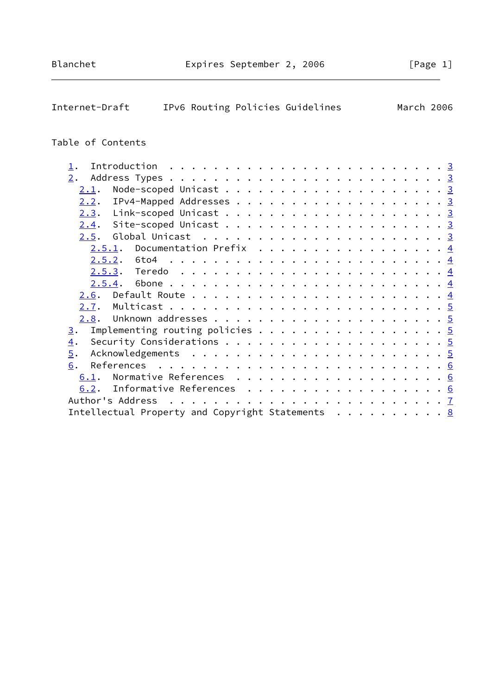| Internet-Draft<br>IPv6 Routing Policies Guidelines<br>March 2006                         |  |  |  |  |  |
|------------------------------------------------------------------------------------------|--|--|--|--|--|
| Table of Contents                                                                        |  |  |  |  |  |
| 1.                                                                                       |  |  |  |  |  |
| 2.                                                                                       |  |  |  |  |  |
| <u>2.1</u> .                                                                             |  |  |  |  |  |
| 2.2.                                                                                     |  |  |  |  |  |
| 2.3.                                                                                     |  |  |  |  |  |
| 2.4.                                                                                     |  |  |  |  |  |
| Global Unicast $\ldots \ldots \ldots \ldots \ldots \ldots \ldots \frac{3}{2}$<br>2.5.    |  |  |  |  |  |
| Documentation Prefix $\ldots$ 4<br>2.5.1.                                                |  |  |  |  |  |
| $2.5.2.$ 6to4                                                                            |  |  |  |  |  |
|                                                                                          |  |  |  |  |  |
| 2.5.4.                                                                                   |  |  |  |  |  |
| 2.6.                                                                                     |  |  |  |  |  |
| 2.7.                                                                                     |  |  |  |  |  |
| Unknown addresses $\ldots \ldots \ldots \ldots \ldots \ldots \ldots \frac{5}{2}$<br>2.8. |  |  |  |  |  |
| Implementing routing policies 5<br>3.                                                    |  |  |  |  |  |
| $\overline{4}$ .                                                                         |  |  |  |  |  |
| $\overline{5}$ .                                                                         |  |  |  |  |  |
| References<br>6.                                                                         |  |  |  |  |  |
| 6.1.                                                                                     |  |  |  |  |  |
| Informative References 6<br>6.2.                                                         |  |  |  |  |  |
| Author's Address                                                                         |  |  |  |  |  |

Intellectual Property and Copyright Statements . . . . . . . . . <u>[8](#page-7-0)</u>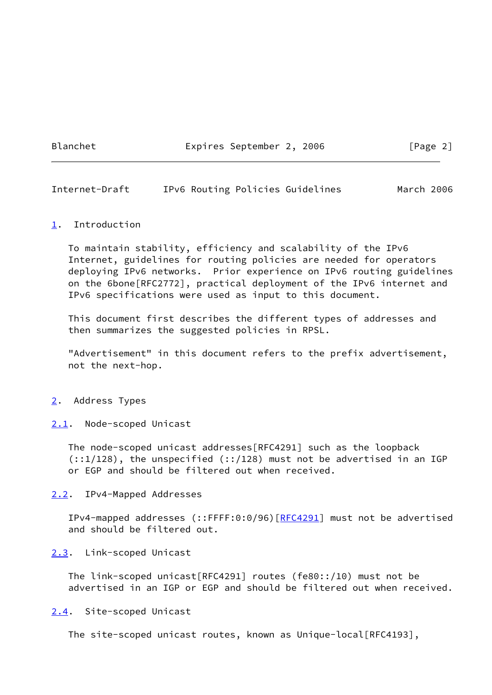Blanchet **Expires September 2, 2006** [Page 2]

<span id="page-2-1"></span>Internet-Draft IPv6 Routing Policies Guidelines March 2006

### <span id="page-2-0"></span>[1](#page-2-0). Introduction

 To maintain stability, efficiency and scalability of the IPv6 Internet, guidelines for routing policies are needed for operators deploying IPv6 networks. Prior experience on IPv6 routing guidelines on the 6bone[RFC2772], practical deployment of the IPv6 internet and IPv6 specifications were used as input to this document.

 This document first describes the different types of addresses and then summarizes the suggested policies in RPSL.

 "Advertisement" in this document refers to the prefix advertisement, not the next-hop.

### <span id="page-2-2"></span>[2](#page-2-2). Address Types

<span id="page-2-3"></span>[2.1](#page-2-3). Node-scoped Unicast

 The node-scoped unicast addresses[RFC4291] such as the loopback  $(::1/128)$ , the unspecified  $(::1/128)$  must not be advertised in an IGP or EGP and should be filtered out when received.

## <span id="page-2-4"></span>[2.2](#page-2-4). IPv4-Mapped Addresses

 IPv4-mapped addresses (::FFFF:0:0/96)[\[RFC4291](https://datatracker.ietf.org/doc/pdf/rfc4291)] must not be advertised and should be filtered out.

### <span id="page-2-5"></span>[2.3](#page-2-5). Link-scoped Unicast

 The link-scoped unicast[RFC4291] routes (fe80::/10) must not be advertised in an IGP or EGP and should be filtered out when received.

### <span id="page-2-6"></span>[2.4](#page-2-6). Site-scoped Unicast

The site-scoped unicast routes, known as Unique-local[RFC4193],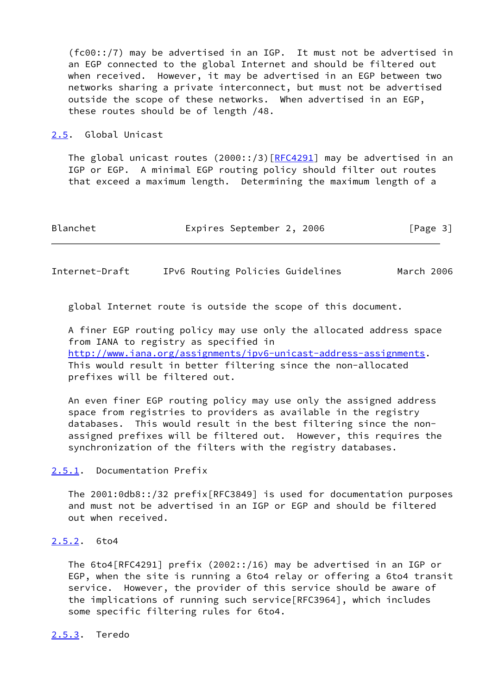(fc00::/7) may be advertised in an IGP. It must not be advertised in an EGP connected to the global Internet and should be filtered out when received. However, it may be advertised in an EGP between two networks sharing a private interconnect, but must not be advertised outside the scope of these networks. When advertised in an EGP, these routes should be of length /48.

#### <span id="page-3-0"></span>[2.5](#page-3-0). Global Unicast

The global unicast routes  $(2000::/3)$   $[REC4291]$  may be advertised in an IGP or EGP. A minimal EGP routing policy should filter out routes that exceed a maximum length. Determining the maximum length of a

| Blanchet | Expires September 2, 2006 |  | [Page 3] |  |
|----------|---------------------------|--|----------|--|
|          |                           |  |          |  |

<span id="page-3-2"></span>Internet-Draft IPv6 Routing Policies Guidelines March 2006

global Internet route is outside the scope of this document.

 A finer EGP routing policy may use only the allocated address space from IANA to registry as specified in <http://www.iana.org/assignments/ipv6-unicast-address-assignments>. This would result in better filtering since the non-allocated prefixes will be filtered out.

 An even finer EGP routing policy may use only the assigned address space from registries to providers as available in the registry databases. This would result in the best filtering since the non assigned prefixes will be filtered out. However, this requires the synchronization of the filters with the registry databases.

<span id="page-3-1"></span>[2.5.1](#page-3-1). Documentation Prefix

 The 2001:0db8::/32 prefix[RFC3849] is used for documentation purposes and must not be advertised in an IGP or EGP and should be filtered out when received.

<span id="page-3-3"></span>[2.5.2](#page-3-3). 6to4

 The 6to4[RFC4291] prefix (2002::/16) may be advertised in an IGP or EGP, when the site is running a 6to4 relay or offering a 6to4 transit service. However, the provider of this service should be aware of the implications of running such service[RFC3964], which includes some specific filtering rules for 6to4.

<span id="page-3-4"></span>[2.5.3](#page-3-4). Teredo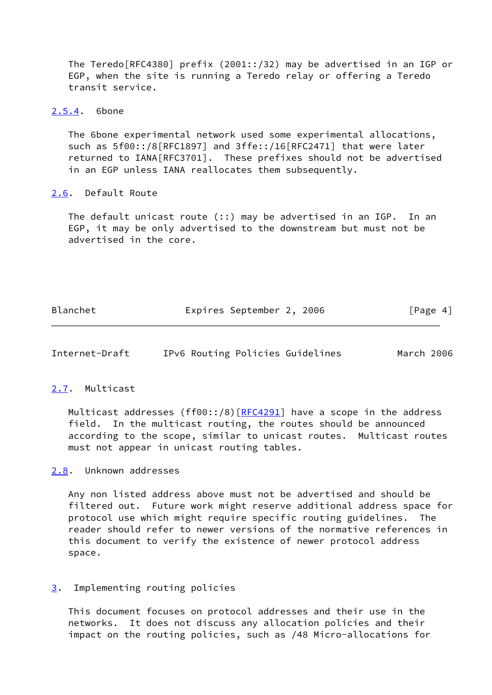The Teredo[RFC4380] prefix (2001::/32) may be advertised in an IGP or EGP, when the site is running a Teredo relay or offering a Teredo transit service.

## <span id="page-4-0"></span>[2.5.4](#page-4-0). 6bone

 The 6bone experimental network used some experimental allocations, such as 5f00::/8[RFC1897] and 3ffe::/16[RFC2471] that were later returned to IANA[RFC3701]. These prefixes should not be advertised in an EGP unless IANA reallocates them subsequently.

## <span id="page-4-1"></span>[2.6](#page-4-1). Default Route

 The default unicast route (::) may be advertised in an IGP. In an EGP, it may be only advertised to the downstream but must not be advertised in the core.

| Blanchet | Expires September 2, 2006 |  | [Page 4] |
|----------|---------------------------|--|----------|
|          |                           |  |          |

<span id="page-4-3"></span>Internet-Draft IPv6 Routing Policies Guidelines March 2006

## <span id="page-4-2"></span>[2.7](#page-4-2). Multicast

Multicast addresses (ff00::/8) $[REC4291]$  have a scope in the address field. In the multicast routing, the routes should be announced according to the scope, similar to unicast routes. Multicast routes must not appear in unicast routing tables.

## <span id="page-4-4"></span>[2.8](#page-4-4). Unknown addresses

 Any non listed address above must not be advertised and should be filtered out. Future work might reserve additional address space for protocol use which might require specific routing guidelines. The reader should refer to newer versions of the normative references in this document to verify the existence of newer protocol address space.

## <span id="page-4-5"></span>[3](#page-4-5). Implementing routing policies

 This document focuses on protocol addresses and their use in the networks. It does not discuss any allocation policies and their impact on the routing policies, such as /48 Micro-allocations for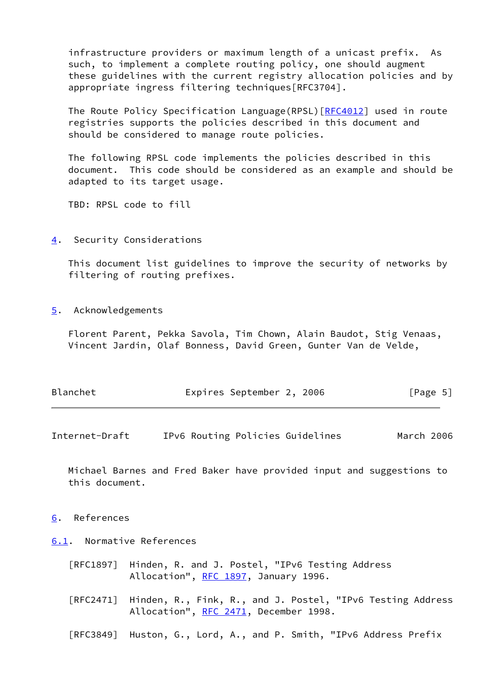infrastructure providers or maximum length of a unicast prefix. As such, to implement a complete routing policy, one should augment these guidelines with the current registry allocation policies and by appropriate ingress filtering techniques[RFC3704].

 The Route Policy Specification Language(RPSL)[\[RFC4012](https://datatracker.ietf.org/doc/pdf/rfc4012)] used in route registries supports the policies described in this document and should be considered to manage route policies.

 The following RPSL code implements the policies described in this document. This code should be considered as an example and should be adapted to its target usage.

TBD: RPSL code to fill

<span id="page-5-0"></span>[4](#page-5-0). Security Considerations

 This document list guidelines to improve the security of networks by filtering of routing prefixes.

<span id="page-5-1"></span>[5](#page-5-1). Acknowledgements

 Florent Parent, Pekka Savola, Tim Chown, Alain Baudot, Stig Venaas, Vincent Jardin, Olaf Bonness, David Green, Gunter Van de Velde,

| Blanchet | Expires September 2, 2006 |  | [Page 5] |  |
|----------|---------------------------|--|----------|--|
|          |                           |  |          |  |

<span id="page-5-3"></span>Internet-Draft IPv6 Routing Policies Guidelines March 2006

 Michael Barnes and Fred Baker have provided input and suggestions to this document.

<span id="page-5-2"></span>[6](#page-5-2). References

<span id="page-5-4"></span>[6.1](#page-5-4). Normative References

- [RFC1897] Hinden, R. and J. Postel, "IPv6 Testing Address Allocation", [RFC 1897](https://datatracker.ietf.org/doc/pdf/rfc1897), January 1996.
- [RFC2471] Hinden, R., Fink, R., and J. Postel, "IPv6 Testing Address Allocation", [RFC 2471](https://datatracker.ietf.org/doc/pdf/rfc2471), December 1998.
- [RFC3849] Huston, G., Lord, A., and P. Smith, "IPv6 Address Prefix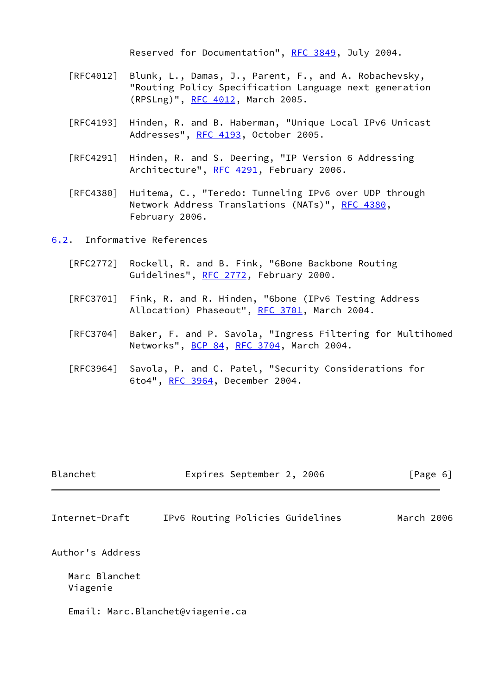Reserved for Documentation", [RFC 3849](https://datatracker.ietf.org/doc/pdf/rfc3849), July 2004.

- [RFC4012] Blunk, L., Damas, J., Parent, F., and A. Robachevsky, "Routing Policy Specification Language next generation (RPSLng)", [RFC 4012](https://datatracker.ietf.org/doc/pdf/rfc4012), March 2005.
- [RFC4193] Hinden, R. and B. Haberman, "Unique Local IPv6 Unicast Addresses", [RFC 4193,](https://datatracker.ietf.org/doc/pdf/rfc4193) October 2005.
- [RFC4291] Hinden, R. and S. Deering, "IP Version 6 Addressing Architecture", [RFC 4291](https://datatracker.ietf.org/doc/pdf/rfc4291), February 2006.
- [RFC4380] Huitema, C., "Teredo: Tunneling IPv6 over UDP through Network Address Translations (NATs)", [RFC 4380](https://datatracker.ietf.org/doc/pdf/rfc4380), February 2006.

<span id="page-6-0"></span>[6.2](#page-6-0). Informative References

- [RFC2772] Rockell, R. and B. Fink, "6Bone Backbone Routing Guidelines", [RFC 2772](https://datatracker.ietf.org/doc/pdf/rfc2772), February 2000.
- [RFC3701] Fink, R. and R. Hinden, "6bone (IPv6 Testing Address Allocation) Phaseout", [RFC 3701](https://datatracker.ietf.org/doc/pdf/rfc3701), March 2004.
- [RFC3704] Baker, F. and P. Savola, "Ingress Filtering for Multihomed Networks", [BCP 84](https://datatracker.ietf.org/doc/pdf/bcp84), [RFC 3704](https://datatracker.ietf.org/doc/pdf/rfc3704), March 2004.
- [RFC3964] Savola, P. and C. Patel, "Security Considerations for 6to4", [RFC 3964](https://datatracker.ietf.org/doc/pdf/rfc3964), December 2004.

<span id="page-6-1"></span>

| Blanchet                  | Expires September 2, 2006        | [Page 6]   |
|---------------------------|----------------------------------|------------|
| Internet-Draft            | IPv6 Routing Policies Guidelines | March 2006 |
| Author's Address          |                                  |            |
| Marc Blanchet<br>Viagenie |                                  |            |
|                           | Email: Marc.Blanchet@viagenie.ca |            |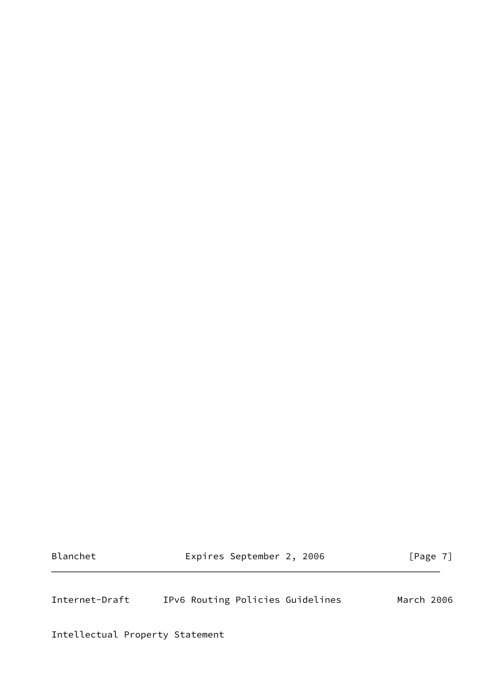Blanchet **Expires September 2, 2006** [Page 7]

<span id="page-7-0"></span>Internet-Draft IPv6 Routing Policies Guidelines March 2006

Intellectual Property Statement